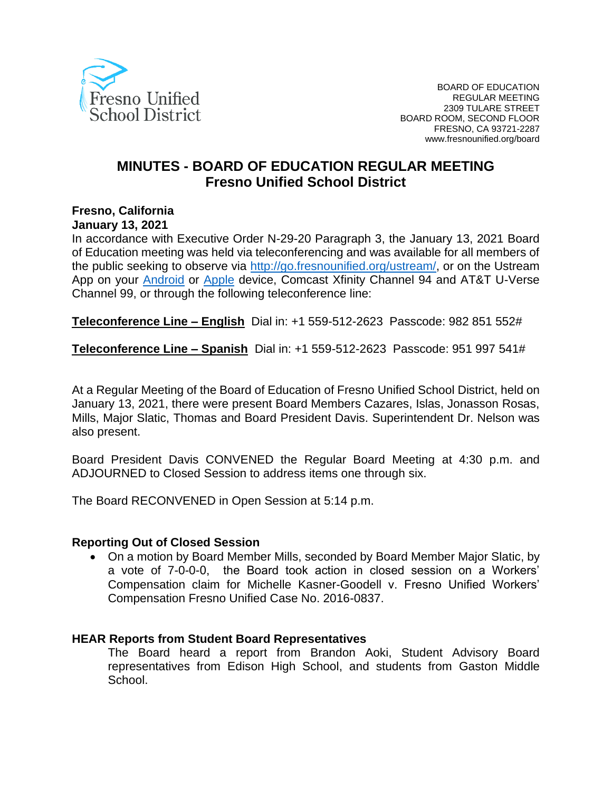

# **MINUTES - BOARD OF EDUCATION REGULAR MEETING Fresno Unified School District**

### **Fresno, California**

#### **January 13, 2021**

In accordance with Executive Order N-29-20 Paragraph 3, the January 13, 2021 Board of Education meeting was held via teleconferencing and was available for all members of the public seeking to observe via [http://go.fresnounified.org/ustream/,](http://go.fresnounified.org/ustream/) or on the Ustream App on your [Android](https://play.google.com/store/apps/details?id=tv.ustream.ustream&hl=en_US) or [Apple](https://itunes.apple.com/us/app/ustream/id301520250?mt=8) device, Comcast Xfinity Channel 94 and AT&T U-Verse Channel 99, or through the following teleconference line:

**Teleconference Line – English** Dial in: +1 559-512-2623 Passcode: 982 851 552#

**Teleconference Line – Spanish** Dial in: +1 559-512-2623 Passcode: 951 997 541#

At a Regular Meeting of the Board of Education of Fresno Unified School District, held on January 13, 2021, there were present Board Members Cazares, Islas, Jonasson Rosas, Mills, Major Slatic, Thomas and Board President Davis. Superintendent Dr. Nelson was also present.

Board President Davis CONVENED the Regular Board Meeting at 4:30 p.m. and ADJOURNED to Closed Session to address items one through six.

The Board RECONVENED in Open Session at 5:14 p.m.

#### **Reporting Out of Closed Session**

• On a motion by Board Member Mills, seconded by Board Member Major Slatic, by a vote of 7-0-0-0, the Board took action in closed session on a Workers' Compensation claim for Michelle Kasner-Goodell v. Fresno Unified Workers' Compensation Fresno Unified Case No. 2016-0837.

#### **HEAR Reports from Student Board Representatives**

The Board heard a report from Brandon Aoki, Student Advisory Board representatives from Edison High School, and students from Gaston Middle School.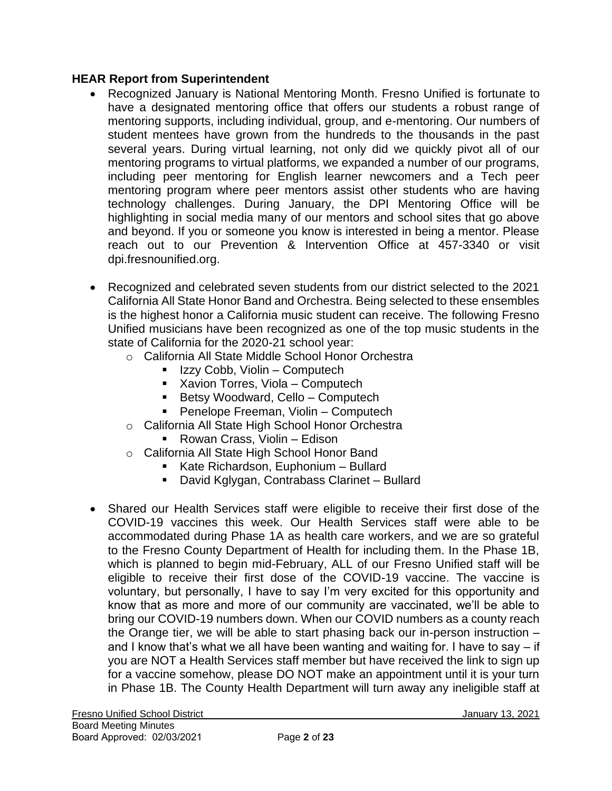### **HEAR Report from Superintendent**

- Recognized January is National Mentoring Month. Fresno Unified is fortunate to have a designated mentoring office that offers our students a robust range of mentoring supports, including individual, group, and e-mentoring. Our numbers of student mentees have grown from the hundreds to the thousands in the past several years. During virtual learning, not only did we quickly pivot all of our mentoring programs to virtual platforms, we expanded a number of our programs, including peer mentoring for English learner newcomers and a Tech peer mentoring program where peer mentors assist other students who are having technology challenges. During January, the DPI Mentoring Office will be highlighting in social media many of our mentors and school sites that go above and beyond. If you or someone you know is interested in being a mentor. Please reach out to our Prevention & Intervention Office at 457-3340 or visit dpi.fresnounified.org.
- Recognized and celebrated seven students from our district selected to the 2021 California All State Honor Band and Orchestra. Being selected to these ensembles is the highest honor a California music student can receive. The following Fresno Unified musicians have been recognized as one of the top music students in the state of California for the 2020-21 school year:
	- o California All State Middle School Honor Orchestra
		- Izzy Cobb, Violin Computech
		- Xavion Torres, Viola Computech
		- Betsy Woodward, Cello Computech
		- Penelope Freeman, Violin Computech
	- o California All State High School Honor Orchestra
		- Rowan Crass, Violin Edison
	- o California All State High School Honor Band
		- Kate Richardson, Euphonium Bullard
		- David Kglygan, Contrabass Clarinet Bullard
- Shared our Health Services staff were eligible to receive their first dose of the COVID-19 vaccines this week. Our Health Services staff were able to be accommodated during Phase 1A as health care workers, and we are so grateful to the Fresno County Department of Health for including them. In the Phase 1B, which is planned to begin mid-February, ALL of our Fresno Unified staff will be eligible to receive their first dose of the COVID-19 vaccine. The vaccine is voluntary, but personally, I have to say I'm very excited for this opportunity and know that as more and more of our community are vaccinated, we'll be able to bring our COVID-19 numbers down. When our COVID numbers as a county reach the Orange tier, we will be able to start phasing back our in-person instruction – and I know that's what we all have been wanting and waiting for. I have to say – if you are NOT a Health Services staff member but have received the link to sign up for a vaccine somehow, please DO NOT make an appointment until it is your turn in Phase 1B. The County Health Department will turn away any ineligible staff at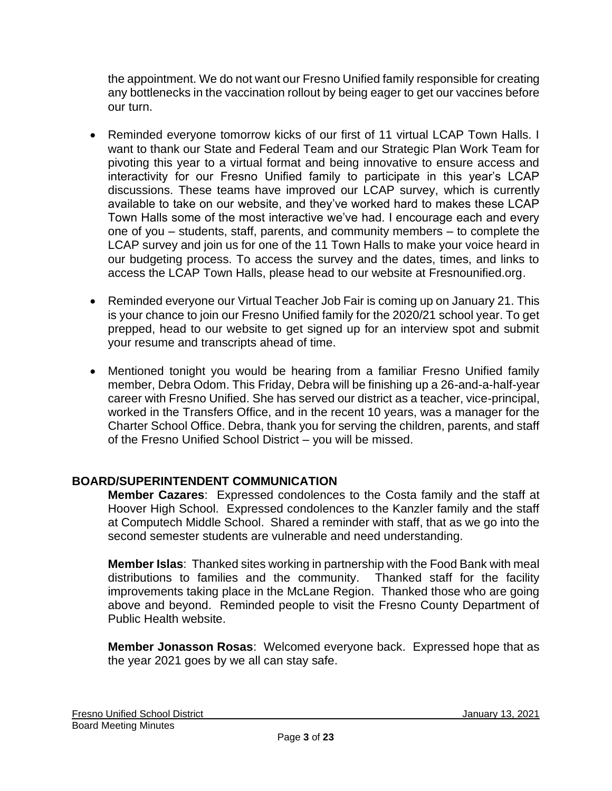the appointment. We do not want our Fresno Unified family responsible for creating any bottlenecks in the vaccination rollout by being eager to get our vaccines before our turn.

- Reminded everyone tomorrow kicks of our first of 11 virtual LCAP Town Halls. I want to thank our State and Federal Team and our Strategic Plan Work Team for pivoting this year to a virtual format and being innovative to ensure access and interactivity for our Fresno Unified family to participate in this year's LCAP discussions. These teams have improved our LCAP survey, which is currently available to take on our website, and they've worked hard to makes these LCAP Town Halls some of the most interactive we've had. I encourage each and every one of you – students, staff, parents, and community members – to complete the LCAP survey and join us for one of the 11 Town Halls to make your voice heard in our budgeting process. To access the survey and the dates, times, and links to access the LCAP Town Halls, please head to our website at Fresnounified.org.
- Reminded everyone our Virtual Teacher Job Fair is coming up on January 21. This is your chance to join our Fresno Unified family for the 2020/21 school year. To get prepped, head to our website to get signed up for an interview spot and submit your resume and transcripts ahead of time.
- Mentioned tonight you would be hearing from a familiar Fresno Unified family member, Debra Odom. This Friday, Debra will be finishing up a 26-and-a-half-year career with Fresno Unified. She has served our district as a teacher, vice-principal, worked in the Transfers Office, and in the recent 10 years, was a manager for the Charter School Office. Debra, thank you for serving the children, parents, and staff of the Fresno Unified School District – you will be missed.

## **BOARD/SUPERINTENDENT COMMUNICATION**

**Member Cazares**:Expressed condolences to the Costa family and the staff at Hoover High School. Expressed condolences to the Kanzler family and the staff at Computech Middle School. Shared a reminder with staff, that as we go into the second semester students are vulnerable and need understanding.

**Member Islas**: Thanked sites working in partnership with the Food Bank with meal distributions to families and the community. Thanked staff for the facility improvements taking place in the McLane Region. Thanked those who are going above and beyond. Reminded people to visit the Fresno County Department of Public Health website.

**Member Jonasson Rosas**: Welcomed everyone back. Expressed hope that as the year 2021 goes by we all can stay safe.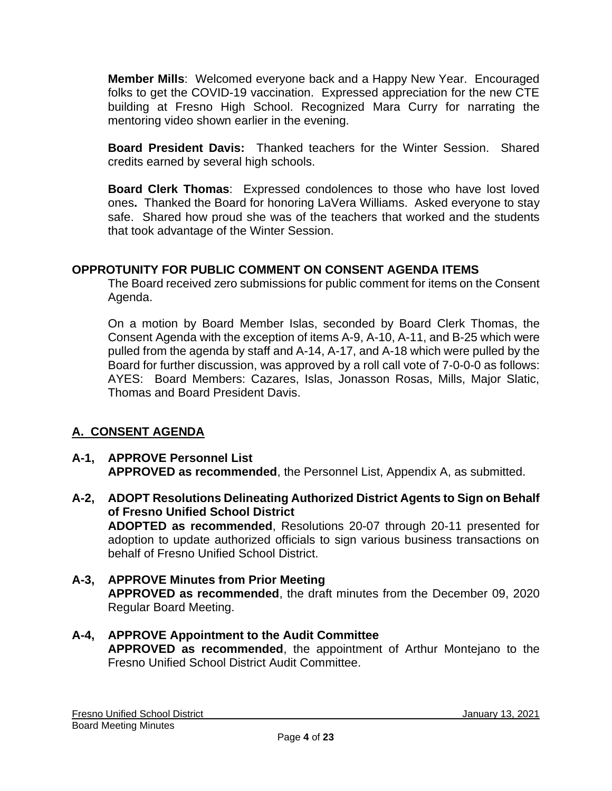**Member Mills**: Welcomed everyone back and a Happy New Year. Encouraged folks to get the COVID-19 vaccination. Expressed appreciation for the new CTE building at Fresno High School. Recognized Mara Curry for narrating the mentoring video shown earlier in the evening.

**Board President Davis:** Thanked teachers for the Winter Session. Shared credits earned by several high schools.

**Board Clerk Thomas**: Expressed condolences to those who have lost loved ones**.** Thanked the Board for honoring LaVera Williams. Asked everyone to stay safe. Shared how proud she was of the teachers that worked and the students that took advantage of the Winter Session.

### **OPPROTUNITY FOR PUBLIC COMMENT ON CONSENT AGENDA ITEMS**

The Board received zero submissions for public comment for items on the Consent Agenda.

On a motion by Board Member Islas, seconded by Board Clerk Thomas, the Consent Agenda with the exception of items A-9, A-10, A-11, and B-25 which were pulled from the agenda by staff and A-14, A-17, and A-18 which were pulled by the Board for further discussion, was approved by a roll call vote of 7-0-0-0 as follows: AYES: Board Members: Cazares, Islas, Jonasson Rosas, Mills, Major Slatic, Thomas and Board President Davis.

## **A. CONSENT AGENDA**

#### **A-1, APPROVE Personnel List APPROVED as recommended**, the Personnel List, Appendix A, as submitted.

- **A-2, ADOPT Resolutions Delineating Authorized District Agents to Sign on Behalf of Fresno Unified School District ADOPTED as recommended**, Resolutions 20-07 through 20-11 presented for adoption to update authorized officials to sign various business transactions on behalf of Fresno Unified School District.
- **A-3, APPROVE Minutes from Prior Meeting APPROVED as recommended**, the draft minutes from the December 09, 2020 Regular Board Meeting.
- **A-4, APPROVE Appointment to the Audit Committee APPROVED as recommended**, the appointment of Arthur Montejano to the Fresno Unified School District Audit Committee.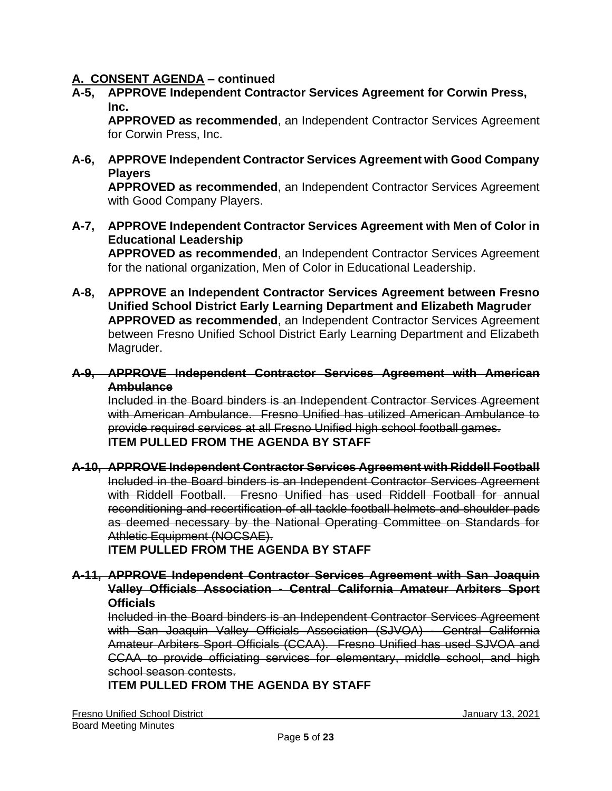**A-5, APPROVE Independent Contractor Services Agreement for Corwin Press, Inc.**

**APPROVED as recommended**, an Independent Contractor Services Agreement for Corwin Press, Inc.

**A-6, APPROVE Independent Contractor Services Agreement with Good Company Players**

**APPROVED as recommended**, an Independent Contractor Services Agreement with Good Company Players.

**A-7, APPROVE Independent Contractor Services Agreement with Men of Color in Educational Leadership**

**APPROVED as recommended**, an Independent Contractor Services Agreement for the national organization, Men of Color in Educational Leadership.

- **A-8, APPROVE an Independent Contractor Services Agreement between Fresno Unified School District Early Learning Department and Elizabeth Magruder APPROVED as recommended**, an Independent Contractor Services Agreement between Fresno Unified School District Early Learning Department and Elizabeth Magruder.
- **A-9, APPROVE Independent Contractor Services Agreement with American Ambulance**

Included in the Board binders is an Independent Contractor Services Agreement with American Ambulance. Fresno Unified has utilized American Ambulance to provide required services at all Fresno Unified high school football games. **ITEM PULLED FROM THE AGENDA BY STAFF**

**A-10, APPROVE Independent Contractor Services Agreement with Riddell Football** Included in the Board binders is an Independent Contractor Services Agreement with Riddell Football. Fresno Unified has used Riddell Football for annual reconditioning and recertification of all tackle football helmets and shoulder pads as deemed necessary by the National Operating Committee on Standards for Athletic Equipment (NOCSAE).

**ITEM PULLED FROM THE AGENDA BY STAFF**

#### **A-11, APPROVE Independent Contractor Services Agreement with San Joaquin Valley Officials Association - Central California Amateur Arbiters Sport Officials**

Included in the Board binders is an Independent Contractor Services Agreement with San Joaquin Valley Officials Association (SJVOA) - Central California Amateur Arbiters Sport Officials (CCAA). Fresno Unified has used SJVOA and CCAA to provide officiating services for elementary, middle school, and high school season contests.

**ITEM PULLED FROM THE AGENDA BY STAFF**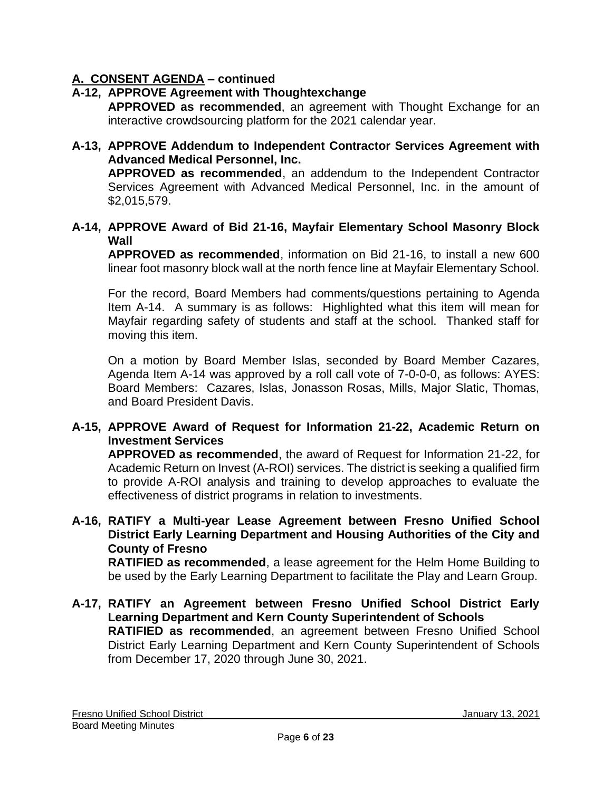### **A-12, APPROVE Agreement with Thoughtexchange**

**APPROVED as recommended**, an agreement with Thought Exchange for an interactive crowdsourcing platform for the 2021 calendar year.

**A-13, APPROVE Addendum to Independent Contractor Services Agreement with Advanced Medical Personnel, Inc.**

**APPROVED as recommended**, an addendum to the Independent Contractor Services Agreement with Advanced Medical Personnel, Inc. in the amount of \$2,015,579.

**A-14, APPROVE Award of Bid 21-16, Mayfair Elementary School Masonry Block Wall**

**APPROVED as recommended**, information on Bid 21-16, to install a new 600 linear foot masonry block wall at the north fence line at Mayfair Elementary School.

For the record, Board Members had comments/questions pertaining to Agenda Item A-14. A summary is as follows: Highlighted what this item will mean for Mayfair regarding safety of students and staff at the school. Thanked staff for moving this item.

On a motion by Board Member Islas, seconded by Board Member Cazares, Agenda Item A-14 was approved by a roll call vote of 7-0-0-0, as follows: AYES: Board Members: Cazares, Islas, Jonasson Rosas, Mills, Major Slatic, Thomas, and Board President Davis.

### **A-15, APPROVE Award of Request for Information 21-22, Academic Return on Investment Services**

**APPROVED as recommended**, the award of Request for Information 21-22, for Academic Return on Invest (A-ROI) services. The district is seeking a qualified firm to provide A-ROI analysis and training to develop approaches to evaluate the effectiveness of district programs in relation to investments.

**A-16, RATIFY a Multi-year Lease Agreement between Fresno Unified School District Early Learning Department and Housing Authorities of the City and County of Fresno**

**RATIFIED as recommended**, a lease agreement for the Helm Home Building to be used by the Early Learning Department to facilitate the Play and Learn Group.

**A-17, RATIFY an Agreement between Fresno Unified School District Early Learning Department and Kern County Superintendent of Schools RATIFIED as recommended**, an agreement between Fresno Unified School District Early Learning Department and Kern County Superintendent of Schools from December 17, 2020 through June 30, 2021.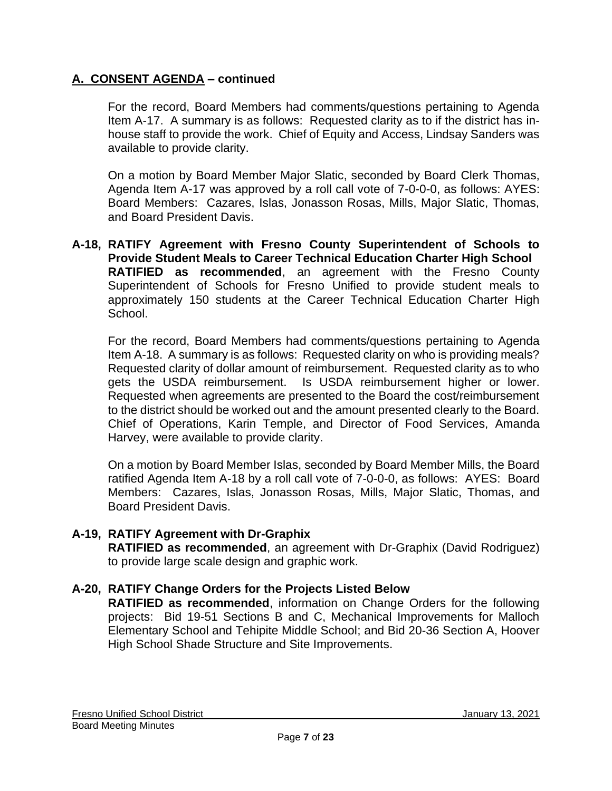For the record, Board Members had comments/questions pertaining to Agenda Item A-17. A summary is as follows: Requested clarity as to if the district has inhouse staff to provide the work. Chief of Equity and Access, Lindsay Sanders was available to provide clarity.

On a motion by Board Member Major Slatic, seconded by Board Clerk Thomas, Agenda Item A-17 was approved by a roll call vote of 7-0-0-0, as follows: AYES: Board Members: Cazares, Islas, Jonasson Rosas, Mills, Major Slatic, Thomas, and Board President Davis.

**A-18, RATIFY Agreement with Fresno County Superintendent of Schools to Provide Student Meals to Career Technical Education Charter High School RATIFIED as recommended**, an agreement with the Fresno County Superintendent of Schools for Fresno Unified to provide student meals to approximately 150 students at the Career Technical Education Charter High School.

For the record, Board Members had comments/questions pertaining to Agenda Item A-18. A summary is as follows: Requested clarity on who is providing meals? Requested clarity of dollar amount of reimbursement. Requested clarity as to who gets the USDA reimbursement. Is USDA reimbursement higher or lower. Requested when agreements are presented to the Board the cost/reimbursement to the district should be worked out and the amount presented clearly to the Board. Chief of Operations, Karin Temple, and Director of Food Services, Amanda Harvey, were available to provide clarity.

On a motion by Board Member Islas, seconded by Board Member Mills, the Board ratified Agenda Item A-18 by a roll call vote of 7-0-0-0, as follows: AYES: Board Members: Cazares, Islas, Jonasson Rosas, Mills, Major Slatic, Thomas, and Board President Davis.

### **A-19, RATIFY Agreement with Dr-Graphix**

**RATIFIED as recommended**, an agreement with Dr-Graphix (David Rodriguez) to provide large scale design and graphic work.

### **A-20, RATIFY Change Orders for the Projects Listed Below**

**RATIFIED as recommended**, information on Change Orders for the following projects: Bid 19-51 Sections B and C, Mechanical Improvements for Malloch Elementary School and Tehipite Middle School; and Bid 20-36 Section A, Hoover High School Shade Structure and Site Improvements.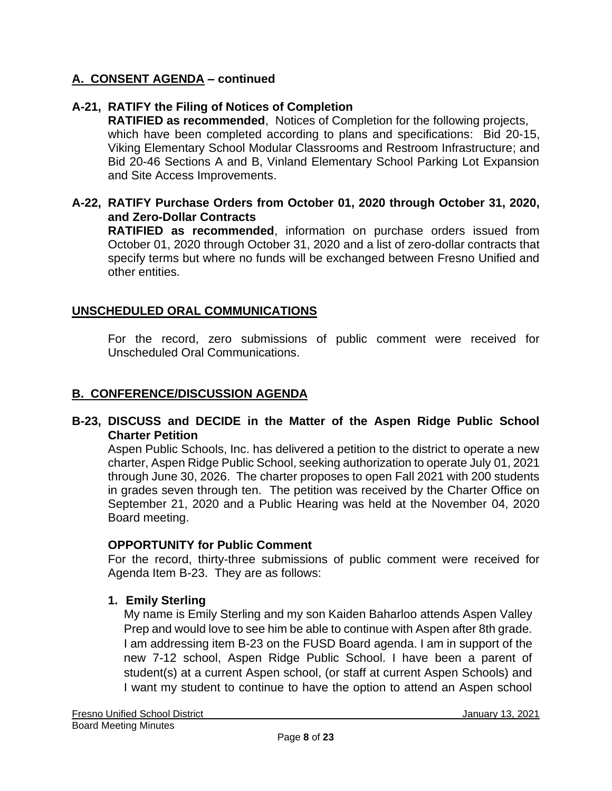### **A-21, RATIFY the Filing of Notices of Completion**

**RATIFIED as recommended**, Notices of Completion for the following projects, which have been completed according to plans and specifications: Bid 20-15, Viking Elementary School Modular Classrooms and Restroom Infrastructure; and Bid 20-46 Sections A and B, Vinland Elementary School Parking Lot Expansion and Site Access Improvements.

#### **A-22, RATIFY Purchase Orders from October 01, 2020 through October 31, 2020, and Zero-Dollar Contracts**

**RATIFIED as recommended**, information on purchase orders issued from October 01, 2020 through October 31, 2020 and a list of zero-dollar contracts that specify terms but where no funds will be exchanged between Fresno Unified and other entities.

#### **UNSCHEDULED ORAL COMMUNICATIONS**

For the record, zero submissions of public comment were received for Unscheduled Oral Communications.

#### **B. CONFERENCE/DISCUSSION AGENDA**

#### **B-23, DISCUSS and DECIDE in the Matter of the Aspen Ridge Public School Charter Petition**

Aspen Public Schools, Inc. has delivered a petition to the district to operate a new charter, Aspen Ridge Public School, seeking authorization to operate July 01, 2021 through June 30, 2026. The charter proposes to open Fall 2021 with 200 students in grades seven through ten. The petition was received by the Charter Office on September 21, 2020 and a Public Hearing was held at the November 04, 2020 Board meeting.

#### **OPPORTUNITY for Public Comment**

For the record, thirty-three submissions of public comment were received for Agenda Item B-23. They are as follows:

### **1. Emily Sterling**

My name is Emily Sterling and my son Kaiden Baharloo attends Aspen Valley Prep and would love to see him be able to continue with Aspen after 8th grade. I am addressing item B-23 on the FUSD Board agenda. I am in support of the new 7-12 school, Aspen Ridge Public School. I have been a parent of student(s) at a current Aspen school, (or staff at current Aspen Schools) and I want my student to continue to have the option to attend an Aspen school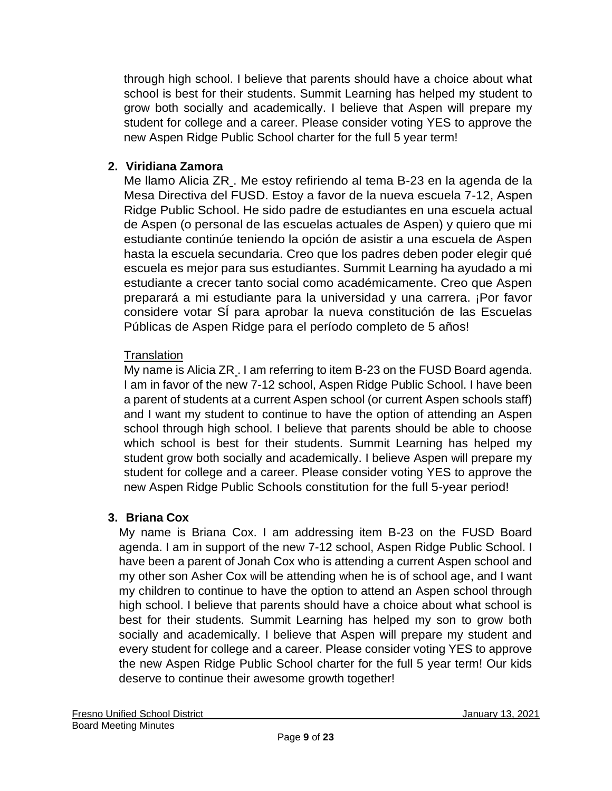through high school. I believe that parents should have a choice about what school is best for their students. Summit Learning has helped my student to grow both socially and academically. I believe that Aspen will prepare my student for college and a career. Please consider voting YES to approve the new Aspen Ridge Public School charter for the full 5 year term!

# **2. Viridiana Zamora**

Me llamo Alicia ZR . Me estoy refiriendo al tema B-23 en la agenda de la Mesa Directiva del FUSD. Estoy a favor de la nueva escuela 7-12, Aspen Ridge Public School. He sido padre de estudiantes en una escuela actual de Aspen (o personal de las escuelas actuales de Aspen) y quiero que mi estudiante continúe teniendo la opción de asistir a una escuela de Aspen hasta la escuela secundaria. Creo que los padres deben poder elegir qué escuela es mejor para sus estudiantes. Summit Learning ha ayudado a mi estudiante a crecer tanto social como académicamente. Creo que Aspen preparará a mi estudiante para la universidad y una carrera. ¡Por favor considere votar SÍ para aprobar la nueva constitución de las Escuelas Públicas de Aspen Ridge para el período completo de 5 años!

## **Translation**

My name is Alicia ZR . I am referring to item B-23 on the FUSD Board agenda. I am in favor of the new 7-12 school, Aspen Ridge Public School. I have been a parent of students at a current Aspen school (or current Aspen schools staff) and I want my student to continue to have the option of attending an Aspen school through high school. I believe that parents should be able to choose which school is best for their students. Summit Learning has helped my student grow both socially and academically. I believe Aspen will prepare my student for college and a career. Please consider voting YES to approve the new Aspen Ridge Public Schools constitution for the full 5-year period!

## **3. Briana Cox**

My name is Briana Cox. I am addressing item B-23 on the FUSD Board agenda. I am in support of the new 7-12 school, Aspen Ridge Public School. I have been a parent of Jonah Cox who is attending a current Aspen school and my other son Asher Cox will be attending when he is of school age, and I want my children to continue to have the option to attend an Aspen school through high school. I believe that parents should have a choice about what school is best for their students. Summit Learning has helped my son to grow both socially and academically. I believe that Aspen will prepare my student and every student for college and a career. Please consider voting YES to approve the new Aspen Ridge Public School charter for the full 5 year term! Our kids deserve to continue their awesome growth together!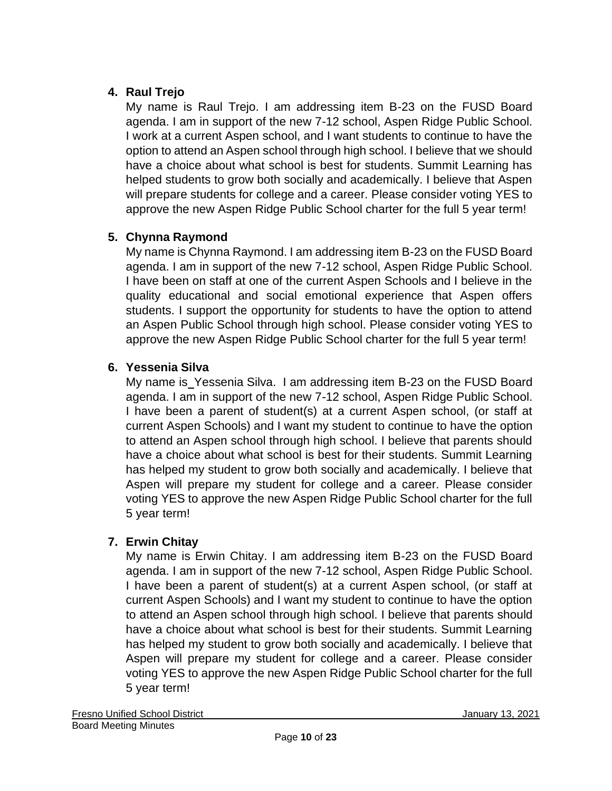# **4. Raul Trejo**

My name is Raul Trejo. I am addressing item B-23 on the FUSD Board agenda. I am in support of the new 7-12 school, Aspen Ridge Public School. I work at a current Aspen school, and I want students to continue to have the option to attend an Aspen school through high school. I believe that we should have a choice about what school is best for students. Summit Learning has helped students to grow both socially and academically. I believe that Aspen will prepare students for college and a career. Please consider voting YES to approve the new Aspen Ridge Public School charter for the full 5 year term!

## **5. Chynna Raymond**

My name is Chynna Raymond. I am addressing item B-23 on the FUSD Board agenda. I am in support of the new 7-12 school, Aspen Ridge Public School. I have been on staff at one of the current Aspen Schools and I believe in the quality educational and social emotional experience that Aspen offers students. I support the opportunity for students to have the option to attend an Aspen Public School through high school. Please consider voting YES to approve the new Aspen Ridge Public School charter for the full 5 year term!

## **6. Yessenia Silva**

My name is Yessenia Silva. I am addressing item B-23 on the FUSD Board agenda. I am in support of the new 7-12 school, Aspen Ridge Public School. I have been a parent of student(s) at a current Aspen school, (or staff at current Aspen Schools) and I want my student to continue to have the option to attend an Aspen school through high school. I believe that parents should have a choice about what school is best for their students. Summit Learning has helped my student to grow both socially and academically. I believe that Aspen will prepare my student for college and a career. Please consider voting YES to approve the new Aspen Ridge Public School charter for the full 5 year term!

# **7. Erwin Chitay**

My name is Erwin Chitay. I am addressing item B-23 on the FUSD Board agenda. I am in support of the new 7-12 school, Aspen Ridge Public School. I have been a parent of student(s) at a current Aspen school, (or staff at current Aspen Schools) and I want my student to continue to have the option to attend an Aspen school through high school. I believe that parents should have a choice about what school is best for their students. Summit Learning has helped my student to grow both socially and academically. I believe that Aspen will prepare my student for college and a career. Please consider voting YES to approve the new Aspen Ridge Public School charter for the full 5 year term!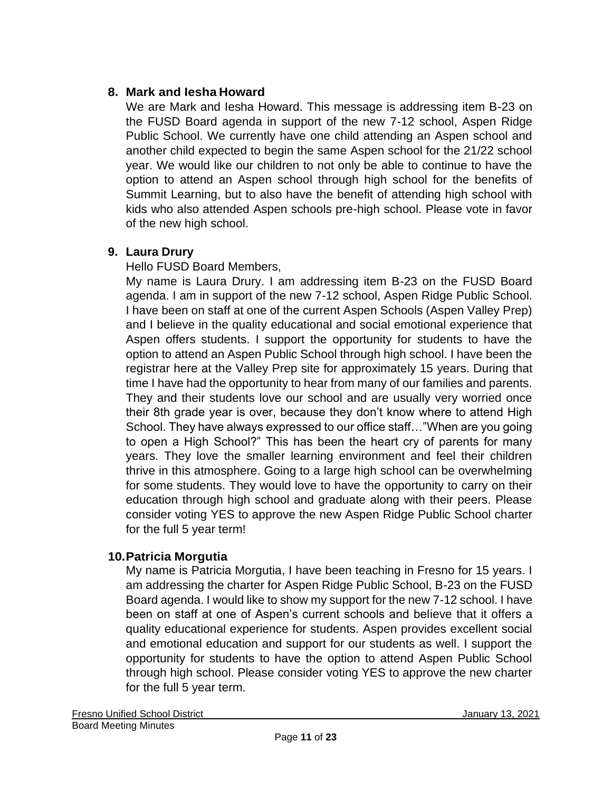### **8. Mark and Iesha Howard**

We are Mark and Iesha Howard. This message is addressing item B-23 on the FUSD Board agenda in support of the new 7-12 school, Aspen Ridge Public School. We currently have one child attending an Aspen school and another child expected to begin the same Aspen school for the 21/22 school year. We would like our children to not only be able to continue to have the option to attend an Aspen school through high school for the benefits of Summit Learning, but to also have the benefit of attending high school with kids who also attended Aspen schools pre-high school. Please vote in favor of the new high school.

### **9. Laura Drury**

Hello FUSD Board Members,

My name is Laura Drury. I am addressing item B-23 on the FUSD Board agenda. I am in support of the new 7-12 school, Aspen Ridge Public School. I have been on staff at one of the current Aspen Schools (Aspen Valley Prep) and I believe in the quality educational and social emotional experience that Aspen offers students. I support the opportunity for students to have the option to attend an Aspen Public School through high school. I have been the registrar here at the Valley Prep site for approximately 15 years. During that time I have had the opportunity to hear from many of our families and parents. They and their students love our school and are usually very worried once their 8th grade year is over, because they don't know where to attend High School. They have always expressed to our office staff…"When are you going to open a High School?" This has been the heart cry of parents for many years. They love the smaller learning environment and feel their children thrive in this atmosphere. Going to a large high school can be overwhelming for some students. They would love to have the opportunity to carry on their education through high school and graduate along with their peers. Please consider voting YES to approve the new Aspen Ridge Public School charter for the full 5 year term!

## **10.Patricia Morgutia**

My name is Patricia Morgutia, I have been teaching in Fresno for 15 years. I am addressing the charter for Aspen Ridge Public School, B-23 on the FUSD Board agenda. I would like to show my support for the new 7-12 school. I have been on staff at one of Aspen's current schools and believe that it offers a quality educational experience for students. Aspen provides excellent social and emotional education and support for our students as well. I support the opportunity for students to have the option to attend Aspen Public School through high school. Please consider voting YES to approve the new charter for the full 5 year term.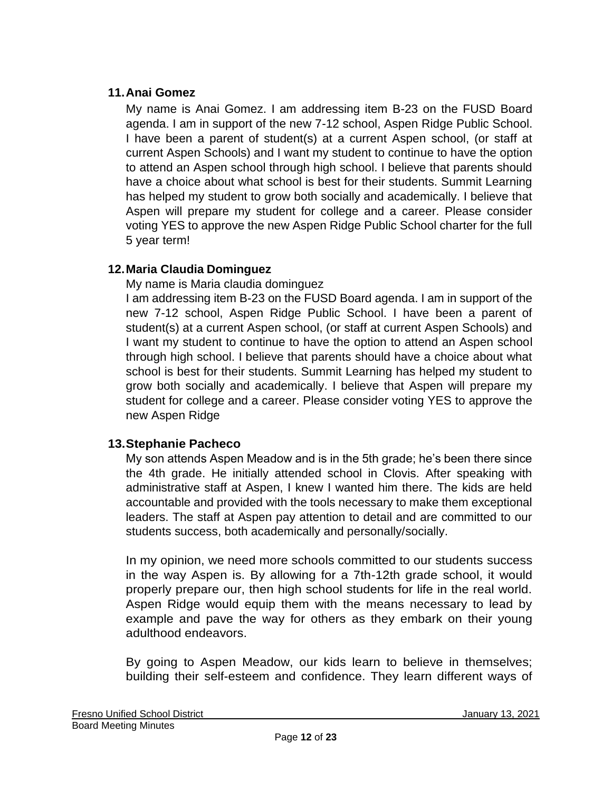### **11.Anai Gomez**

My name is Anai Gomez. I am addressing item B-23 on the FUSD Board agenda. I am in support of the new 7-12 school, Aspen Ridge Public School. I have been a parent of student(s) at a current Aspen school, (or staff at current Aspen Schools) and I want my student to continue to have the option to attend an Aspen school through high school. I believe that parents should have a choice about what school is best for their students. Summit Learning has helped my student to grow both socially and academically. I believe that Aspen will prepare my student for college and a career. Please consider voting YES to approve the new Aspen Ridge Public School charter for the full 5 year term!

## **12.Maria Claudia Dominguez**

My name is Maria claudia dominguez

I am addressing item B-23 on the FUSD Board agenda. I am in support of the new 7-12 school, Aspen Ridge Public School. I have been a parent of student(s) at a current Aspen school, (or staff at current Aspen Schools) and I want my student to continue to have the option to attend an Aspen school through high school. I believe that parents should have a choice about what school is best for their students. Summit Learning has helped my student to grow both socially and academically. I believe that Aspen will prepare my student for college and a career. Please consider voting YES to approve the new Aspen Ridge

### **13.Stephanie Pacheco**

My son attends Aspen Meadow and is in the 5th grade; he's been there since the 4th grade. He initially attended school in Clovis. After speaking with administrative staff at Aspen, I knew I wanted him there. The kids are held accountable and provided with the tools necessary to make them exceptional leaders. The staff at Aspen pay attention to detail and are committed to our students success, both academically and personally/socially.

In my opinion, we need more schools committed to our students success in the way Aspen is. By allowing for a 7th-12th grade school, it would properly prepare our, then high school students for life in the real world. Aspen Ridge would equip them with the means necessary to lead by example and pave the way for others as they embark on their young adulthood endeavors.

By going to Aspen Meadow, our kids learn to believe in themselves; building their self-esteem and confidence. They learn different ways of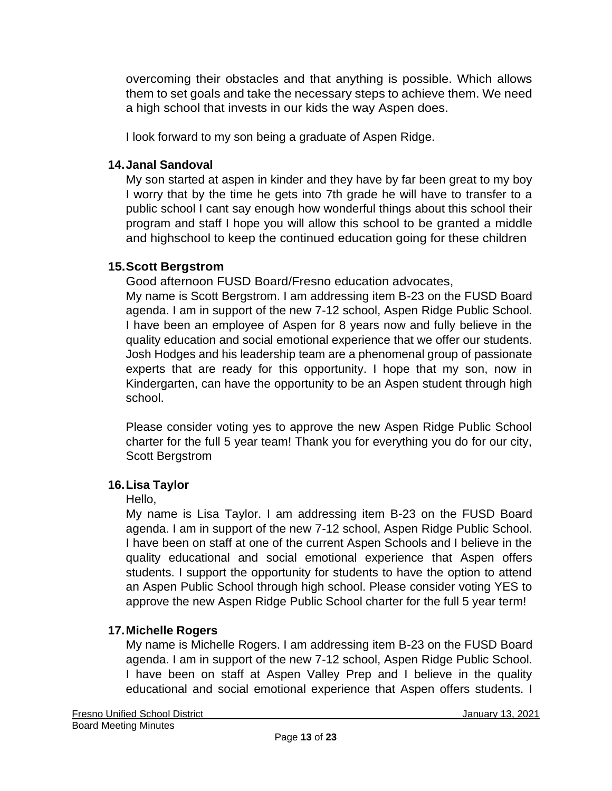overcoming their obstacles and that anything is possible. Which allows them to set goals and take the necessary steps to achieve them. We need a high school that invests in our kids the way Aspen does.

I look forward to my son being a graduate of Aspen Ridge.

### **14.Janal Sandoval**

My son started at aspen in kinder and they have by far been great to my boy I worry that by the time he gets into 7th grade he will have to transfer to a public school I cant say enough how wonderful things about this school their program and staff I hope you will allow this school to be granted a middle and highschool to keep the continued education going for these children

# **15.Scott Bergstrom**

Good afternoon FUSD Board/Fresno education advocates,

My name is Scott Bergstrom. I am addressing item B-23 on the FUSD Board agenda. I am in support of the new 7-12 school, Aspen Ridge Public School. I have been an employee of Aspen for 8 years now and fully believe in the quality education and social emotional experience that we offer our students. Josh Hodges and his leadership team are a phenomenal group of passionate experts that are ready for this opportunity. I hope that my son, now in Kindergarten, can have the opportunity to be an Aspen student through high school.

Please consider voting yes to approve the new Aspen Ridge Public School charter for the full 5 year team! Thank you for everything you do for our city, Scott Bergstrom

## **16.Lisa Taylor**

## Hello,

My name is Lisa Taylor. I am addressing item B-23 on the FUSD Board agenda. I am in support of the new 7-12 school, Aspen Ridge Public School. I have been on staff at one of the current Aspen Schools and I believe in the quality educational and social emotional experience that Aspen offers students. I support the opportunity for students to have the option to attend an Aspen Public School through high school. Please consider voting YES to approve the new Aspen Ridge Public School charter for the full 5 year term!

# **17.Michelle Rogers**

My name is Michelle Rogers. I am addressing item B-23 on the FUSD Board agenda. I am in support of the new 7-12 school, Aspen Ridge Public School. I have been on staff at Aspen Valley Prep and I believe in the quality educational and social emotional experience that Aspen offers students. I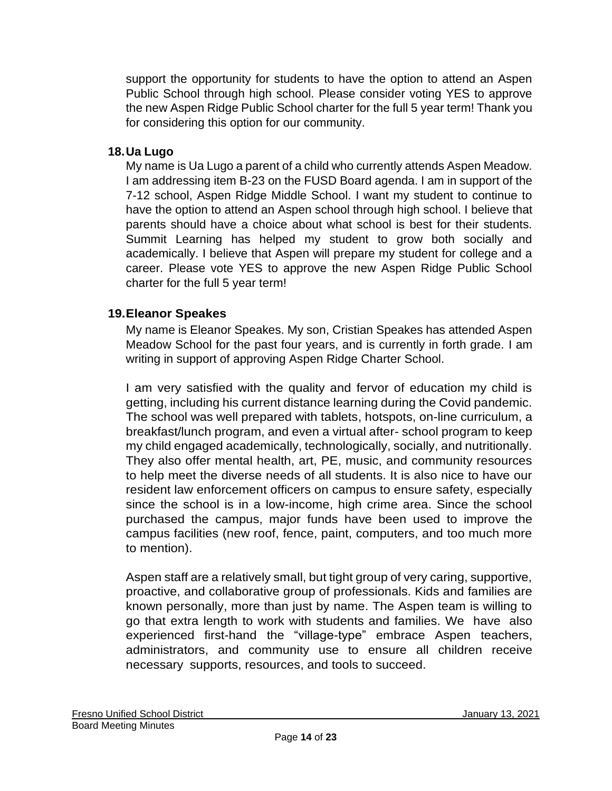support the opportunity for students to have the option to attend an Aspen Public School through high school. Please consider voting YES to approve the new Aspen Ridge Public School charter for the full 5 year term! Thank you for considering this option for our community.

### **18.Ua Lugo**

My name is Ua Lugo a parent of a child who currently attends Aspen Meadow. I am addressing item B-23 on the FUSD Board agenda. I am in support of the 7-12 school, Aspen Ridge Middle School. I want my student to continue to have the option to attend an Aspen school through high school. I believe that parents should have a choice about what school is best for their students. Summit Learning has helped my student to grow both socially and academically. I believe that Aspen will prepare my student for college and a career. Please vote YES to approve the new Aspen Ridge Public School charter for the full 5 year term!

## **19.Eleanor Speakes**

My name is Eleanor Speakes. My son, Cristian Speakes has attended Aspen Meadow School for the past four years, and is currently in forth grade. I am writing in support of approving Aspen Ridge Charter School.

I am very satisfied with the quality and fervor of education my child is getting, including his current distance learning during the Covid pandemic. The school was well prepared with tablets, hotspots, on-line curriculum, a breakfast/lunch program, and even a virtual after- school program to keep my child engaged academically, technologically, socially, and nutritionally. They also offer mental health, art, PE, music, and community resources to help meet the diverse needs of all students. It is also nice to have our resident law enforcement officers on campus to ensure safety, especially since the school is in a low-income, high crime area. Since the school purchased the campus, major funds have been used to improve the campus facilities (new roof, fence, paint, computers, and too much more to mention).

Aspen staff are a relatively small, but tight group of very caring, supportive, proactive, and collaborative group of professionals. Kids and families are known personally, more than just by name. The Aspen team is willing to go that extra length to work with students and families. We have also experienced first-hand the "village-type" embrace Aspen teachers, administrators, and community use to ensure all children receive necessary supports, resources, and tools to succeed.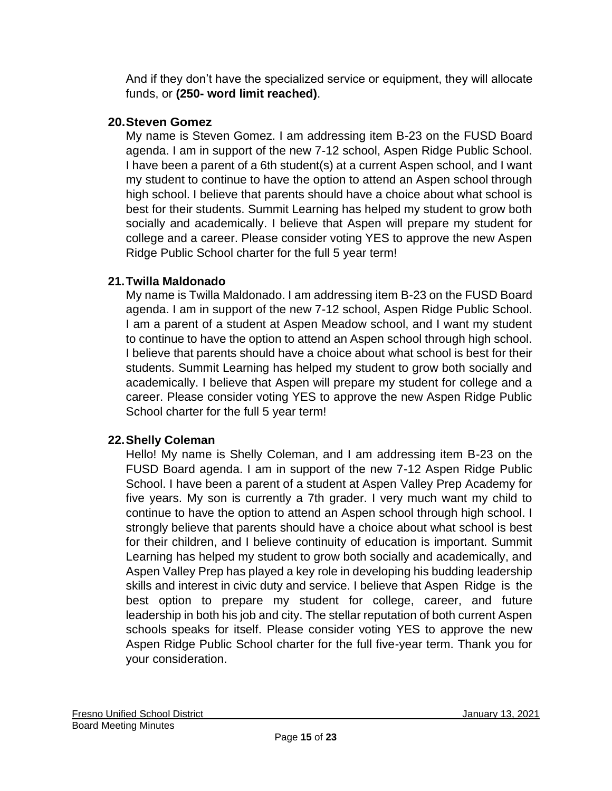And if they don't have the specialized service or equipment, they will allocate funds, or **(250- word limit reached)**.

## **20.Steven Gomez**

My name is Steven Gomez. I am addressing item B-23 on the FUSD Board agenda. I am in support of the new 7-12 school, Aspen Ridge Public School. I have been a parent of a 6th student(s) at a current Aspen school, and I want my student to continue to have the option to attend an Aspen school through high school. I believe that parents should have a choice about what school is best for their students. Summit Learning has helped my student to grow both socially and academically. I believe that Aspen will prepare my student for college and a career. Please consider voting YES to approve the new Aspen Ridge Public School charter for the full 5 year term!

### **21.Twilla Maldonado**

My name is Twilla Maldonado. I am addressing item B-23 on the FUSD Board agenda. I am in support of the new 7-12 school, Aspen Ridge Public School. I am a parent of a student at Aspen Meadow school, and I want my student to continue to have the option to attend an Aspen school through high school. I believe that parents should have a choice about what school is best for their students. Summit Learning has helped my student to grow both socially and academically. I believe that Aspen will prepare my student for college and a career. Please consider voting YES to approve the new Aspen Ridge Public School charter for the full 5 year term!

## **22.Shelly Coleman**

Hello! My name is Shelly Coleman, and I am addressing item B-23 on the FUSD Board agenda. I am in support of the new 7-12 Aspen Ridge Public School. I have been a parent of a student at Aspen Valley Prep Academy for five years. My son is currently a 7th grader. I very much want my child to continue to have the option to attend an Aspen school through high school. I strongly believe that parents should have a choice about what school is best for their children, and I believe continuity of education is important. Summit Learning has helped my student to grow both socially and academically, and Aspen Valley Prep has played a key role in developing his budding leadership skills and interest in civic duty and service. I believe that Aspen Ridge is the best option to prepare my student for college, career, and future leadership in both his job and city. The stellar reputation of both current Aspen schools speaks for itself. Please consider voting YES to approve the new Aspen Ridge Public School charter for the full five-year term. Thank you for your consideration.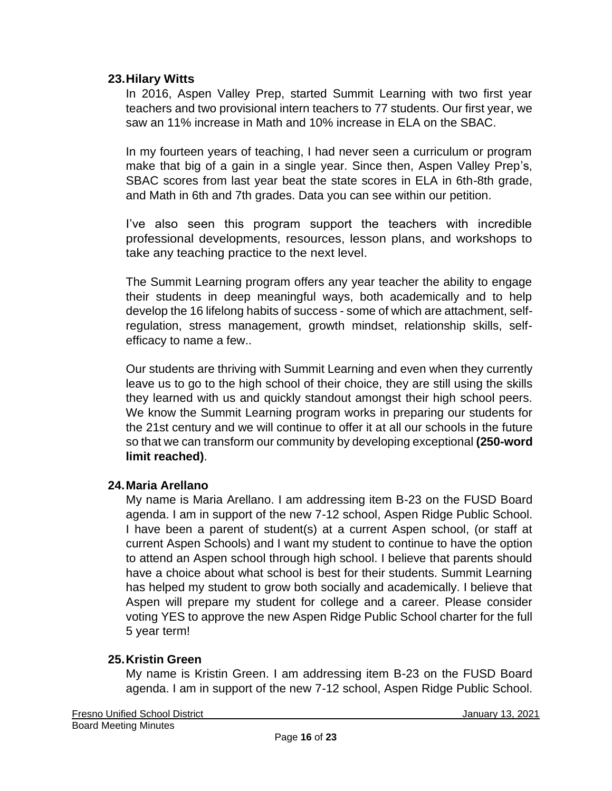#### **23.Hilary Witts**

In 2016, Aspen Valley Prep, started Summit Learning with two first year teachers and two provisional intern teachers to 77 students. Our first year, we saw an 11% increase in Math and 10% increase in ELA on the SBAC.

In my fourteen years of teaching, I had never seen a curriculum or program make that big of a gain in a single year. Since then, Aspen Valley Prep's, SBAC scores from last year beat the state scores in ELA in 6th-8th grade, and Math in 6th and 7th grades. Data you can see within our petition.

I've also seen this program support the teachers with incredible professional developments, resources, lesson plans, and workshops to take any teaching practice to the next level.

The Summit Learning program offers any year teacher the ability to engage their students in deep meaningful ways, both academically and to help develop the 16 lifelong habits of success - some of which are attachment, selfregulation, stress management, growth mindset, relationship skills, selfefficacy to name a few..

Our students are thriving with Summit Learning and even when they currently leave us to go to the high school of their choice, they are still using the skills they learned with us and quickly standout amongst their high school peers. We know the Summit Learning program works in preparing our students for the 21st century and we will continue to offer it at all our schools in the future so that we can transform our community by developing exceptional **(250-word limit reached)**.

### **24.Maria Arellano**

My name is Maria Arellano. I am addressing item B-23 on the FUSD Board agenda. I am in support of the new 7-12 school, Aspen Ridge Public School. I have been a parent of student(s) at a current Aspen school, (or staff at current Aspen Schools) and I want my student to continue to have the option to attend an Aspen school through high school. I believe that parents should have a choice about what school is best for their students. Summit Learning has helped my student to grow both socially and academically. I believe that Aspen will prepare my student for college and a career. Please consider voting YES to approve the new Aspen Ridge Public School charter for the full 5 year term!

### **25.Kristin Green**

My name is Kristin Green. I am addressing item B-23 on the FUSD Board agenda. I am in support of the new 7-12 school, Aspen Ridge Public School.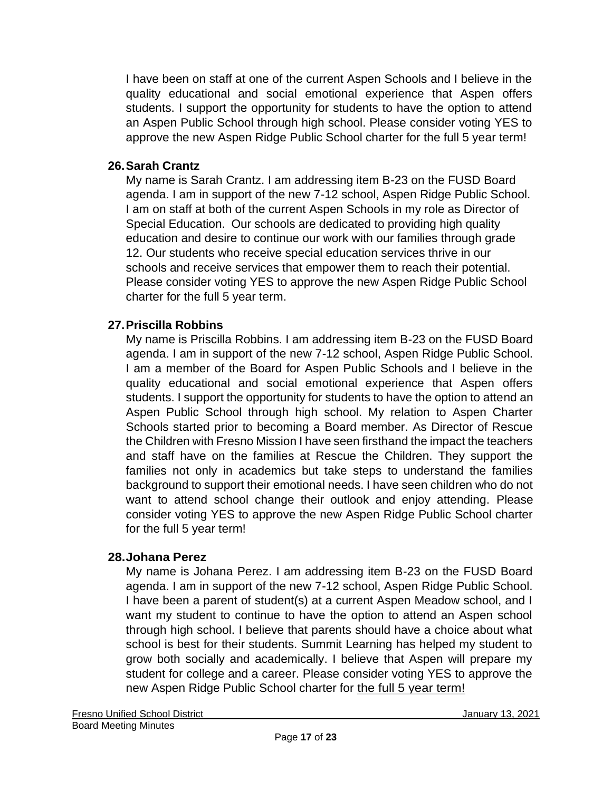I have been on staff at one of the current Aspen Schools and I believe in the quality educational and social emotional experience that Aspen offers students. I support the opportunity for students to have the option to attend an Aspen Public School through high school. Please consider voting YES to approve the new Aspen Ridge Public School charter for the full 5 year term!

### **26.Sarah Crantz**

My name is Sarah Crantz. I am addressing item B-23 on the FUSD Board agenda. I am in support of the new 7-12 school, Aspen Ridge Public School. I am on staff at both of the current Aspen Schools in my role as Director of Special Education. Our schools are dedicated to providing high quality education and desire to continue our work with our families through grade 12. Our students who receive special education services thrive in our schools and receive services that empower them to reach their potential. Please consider voting YES to approve the new Aspen Ridge Public School charter for the full 5 year term.

### **27.Priscilla Robbins**

My name is Priscilla Robbins. I am addressing item B-23 on the FUSD Board agenda. I am in support of the new 7-12 school, Aspen Ridge Public School. I am a member of the Board for Aspen Public Schools and I believe in the quality educational and social emotional experience that Aspen offers students. I support the opportunity for students to have the option to attend an Aspen Public School through high school. My relation to Aspen Charter Schools started prior to becoming a Board member. As Director of Rescue the Children with Fresno Mission I have seen firsthand the impact the teachers and staff have on the families at Rescue the Children. They support the families not only in academics but take steps to understand the families background to support their emotional needs. I have seen children who do not want to attend school change their outlook and enjoy attending. Please consider voting YES to approve the new Aspen Ridge Public School charter for the full 5 year term!

### **28.Johana Perez**

My name is Johana Perez. I am addressing item B-23 on the FUSD Board agenda. I am in support of the new 7-12 school, Aspen Ridge Public School. I have been a parent of student(s) at a current Aspen Meadow school, and I want my student to continue to have the option to attend an Aspen school through high school. I believe that parents should have a choice about what school is best for their students. Summit Learning has helped my student to grow both socially and academically. I believe that Aspen will prepare my student for college and a career. Please consider voting YES to approve the new Aspen Ridge Public School charter for the full 5 year term!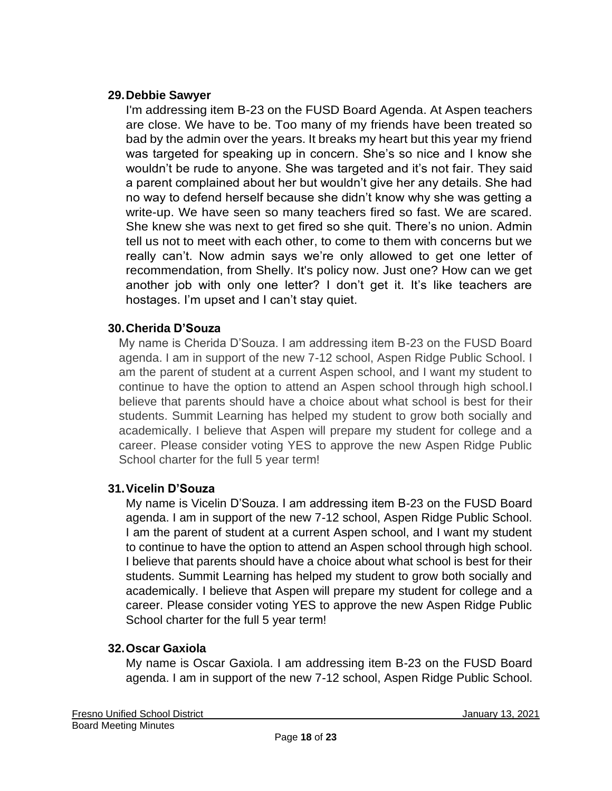### **29.Debbie Sawyer**

I'm addressing item B-23 on the FUSD Board Agenda. At Aspen teachers are close. We have to be. Too many of my friends have been treated so bad by the admin over the years. It breaks my heart but this year my friend was targeted for speaking up in concern. She's so nice and I know she wouldn't be rude to anyone. She was targeted and it's not fair. They said a parent complained about her but wouldn't give her any details. She had no way to defend herself because she didn't know why she was getting a write-up. We have seen so many teachers fired so fast. We are scared. She knew she was next to get fired so she quit. There's no union. Admin tell us not to meet with each other, to come to them with concerns but we really can't. Now admin says we're only allowed to get one letter of recommendation, from Shelly. It's policy now. Just one? How can we get another job with only one letter? I don't get it. It's like teachers are hostages. I'm upset and I can't stay quiet.

### **30.Cherida D'Souza**

My name is Cherida D'Souza. I am addressing item B-23 on the FUSD Board agenda. I am in support of the new 7-12 school, Aspen Ridge Public School. I am the parent of student at a current Aspen school, and I want my student to continue to have the option to attend an Aspen school through high school.I believe that parents should have a choice about what school is best for their students. Summit Learning has helped my student to grow both socially and academically. I believe that Aspen will prepare my student for college and a career. Please consider voting YES to approve the new Aspen Ridge Public School charter for the full 5 year term!

### **31.Vicelin D'Souza**

My name is Vicelin D'Souza. I am addressing item B-23 on the FUSD Board agenda. I am in support of the new 7-12 school, Aspen Ridge Public School. I am the parent of student at a current Aspen school, and I want my student to continue to have the option to attend an Aspen school through high school. I believe that parents should have a choice about what school is best for their students. Summit Learning has helped my student to grow both socially and academically. I believe that Aspen will prepare my student for college and a career. Please consider voting YES to approve the new Aspen Ridge Public School charter for the full 5 year term!

### **32.Oscar Gaxiola**

My name is Oscar Gaxiola. I am addressing item B-23 on the FUSD Board agenda. I am in support of the new 7-12 school, Aspen Ridge Public School.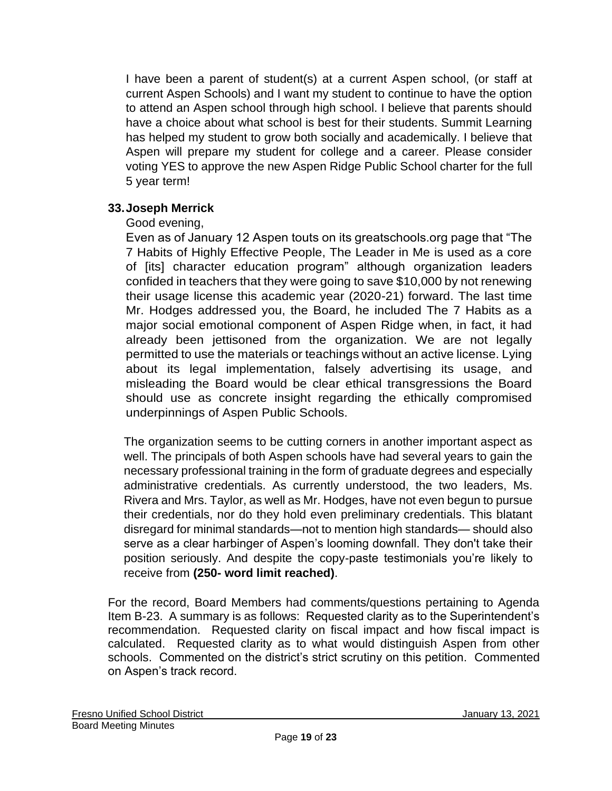I have been a parent of student(s) at a current Aspen school, (or staff at current Aspen Schools) and I want my student to continue to have the option to attend an Aspen school through high school. I believe that parents should have a choice about what school is best for their students. Summit Learning has helped my student to grow both socially and academically. I believe that Aspen will prepare my student for college and a career. Please consider voting YES to approve the new Aspen Ridge Public School charter for the full 5 year term!

### **33.Joseph Merrick**

### Good evening,

Even as of January 12 Aspen touts on its greatschools.org page that "The 7 Habits of Highly Effective People, The Leader in Me is used as a core of [its] character education program" although organization leaders confided in teachers that they were going to save \$10,000 by not renewing their usage license this academic year (2020-21) forward. The last time Mr. Hodges addressed you, the Board, he included The 7 Habits as a major social emotional component of Aspen Ridge when, in fact, it had already been jettisoned from the organization. We are not legally permitted to use the materials or teachings without an active license. Lying about its legal implementation, falsely advertising its usage, and misleading the Board would be clear ethical transgressions the Board should use as concrete insight regarding the ethically compromised underpinnings of Aspen Public Schools.

The organization seems to be cutting corners in another important aspect as well. The principals of both Aspen schools have had several years to gain the necessary professional training in the form of graduate degrees and especially administrative credentials. As currently understood, the two leaders, Ms. Rivera and Mrs. Taylor, as well as Mr. Hodges, have not even begun to pursue their credentials, nor do they hold even preliminary credentials. This blatant disregard for minimal standards—not to mention high standards— should also serve as a clear harbinger of Aspen's looming downfall. They don't take their position seriously. And despite the copy-paste testimonials you're likely to receive from **(250- word limit reached)**.

For the record, Board Members had comments/questions pertaining to Agenda Item B-23. A summary is as follows: Requested clarity as to the Superintendent's recommendation. Requested clarity on fiscal impact and how fiscal impact is calculated. Requested clarity as to what would distinguish Aspen from other schools. Commented on the district's strict scrutiny on this petition. Commented on Aspen's track record.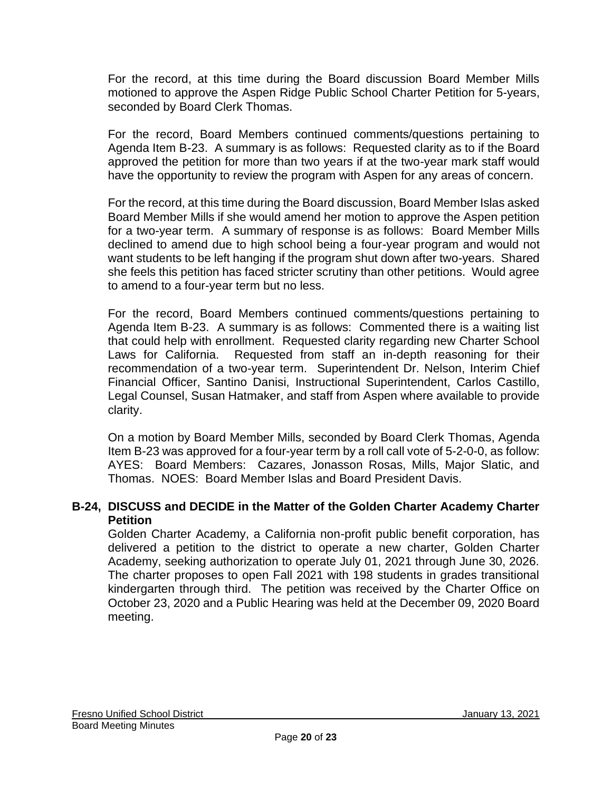For the record, at this time during the Board discussion Board Member Mills motioned to approve the Aspen Ridge Public School Charter Petition for 5-years, seconded by Board Clerk Thomas.

For the record, Board Members continued comments/questions pertaining to Agenda Item B-23. A summary is as follows: Requested clarity as to if the Board approved the petition for more than two years if at the two-year mark staff would have the opportunity to review the program with Aspen for any areas of concern.

For the record, at this time during the Board discussion, Board Member Islas asked Board Member Mills if she would amend her motion to approve the Aspen petition for a two-year term. A summary of response is as follows: Board Member Mills declined to amend due to high school being a four-year program and would not want students to be left hanging if the program shut down after two-years. Shared she feels this petition has faced stricter scrutiny than other petitions. Would agree to amend to a four-year term but no less.

For the record, Board Members continued comments/questions pertaining to Agenda Item B-23. A summary is as follows: Commented there is a waiting list that could help with enrollment. Requested clarity regarding new Charter School Laws for California. Requested from staff an in-depth reasoning for their recommendation of a two-year term. Superintendent Dr. Nelson, Interim Chief Financial Officer, Santino Danisi, Instructional Superintendent, Carlos Castillo, Legal Counsel, Susan Hatmaker, and staff from Aspen where available to provide clarity.

On a motion by Board Member Mills, seconded by Board Clerk Thomas, Agenda Item B-23 was approved for a four-year term by a roll call vote of 5-2-0-0, as follow: AYES: Board Members: Cazares, Jonasson Rosas, Mills, Major Slatic, and Thomas. NOES: Board Member Islas and Board President Davis.

#### **B-24, DISCUSS and DECIDE in the Matter of the Golden Charter Academy Charter Petition**

Golden Charter Academy, a California non-profit public benefit corporation, has delivered a petition to the district to operate a new charter, Golden Charter Academy, seeking authorization to operate July 01, 2021 through June 30, 2026. The charter proposes to open Fall 2021 with 198 students in grades transitional kindergarten through third. The petition was received by the Charter Office on October 23, 2020 and a Public Hearing was held at the December 09, 2020 Board meeting.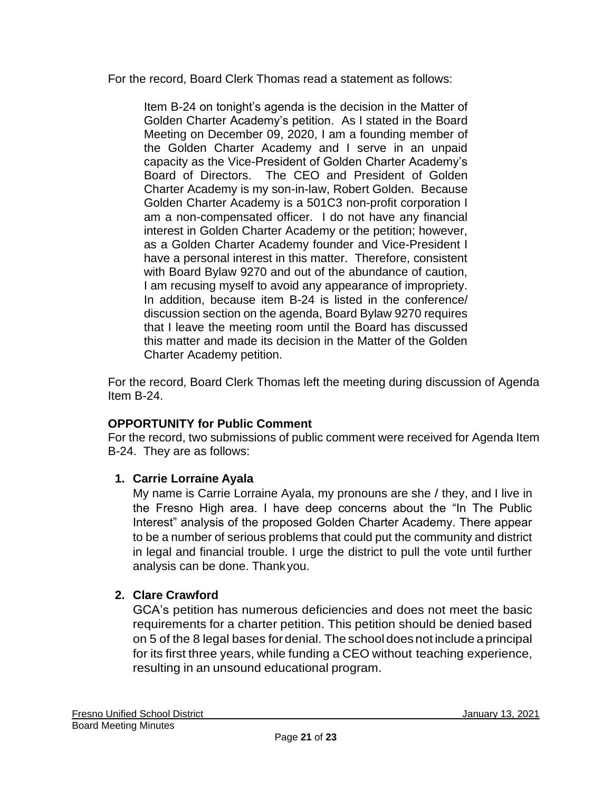For the record, Board Clerk Thomas read a statement as follows:

Item B-24 on tonight's agenda is the decision in the Matter of Golden Charter Academy's petition. As I stated in the Board Meeting on December 09, 2020, I am a founding member of the Golden Charter Academy and I serve in an unpaid capacity as the Vice-President of Golden Charter Academy's Board of Directors. The CEO and President of Golden Charter Academy is my son-in-law, Robert Golden. Because Golden Charter Academy is a 501C3 non-profit corporation I am a non-compensated officer. I do not have any financial interest in Golden Charter Academy or the petition; however, as a Golden Charter Academy founder and Vice-President I have a personal interest in this matter. Therefore, consistent with Board Bylaw 9270 and out of the abundance of caution, I am recusing myself to avoid any appearance of impropriety. In addition, because item B-24 is listed in the conference/ discussion section on the agenda, Board Bylaw 9270 requires that I leave the meeting room until the Board has discussed this matter and made its decision in the Matter of the Golden Charter Academy petition.

For the record, Board Clerk Thomas left the meeting during discussion of Agenda Item B-24.

# **OPPORTUNITY for Public Comment**

For the record, two submissions of public comment were received for Agenda Item B-24. They are as follows:

## **1. Carrie Lorraine Ayala**

My name is Carrie Lorraine Ayala, my pronouns are she / they, and I live in the Fresno High area. I have deep concerns about the "In The Public Interest" analysis of the proposed Golden Charter Academy. There appear to be a number of serious problems that could put the community and district in legal and financial trouble. I urge the district to pull the vote until further analysis can be done. Thankyou.

# **2. Clare Crawford**

GCA's petition has numerous deficiencies and does not meet the basic requirements for a charter petition. This petition should be denied based on 5 of the 8 legal bases fordenial. The school does not include a principal for its first three years, while funding a CEO without teaching experience, resulting in an unsound educational program.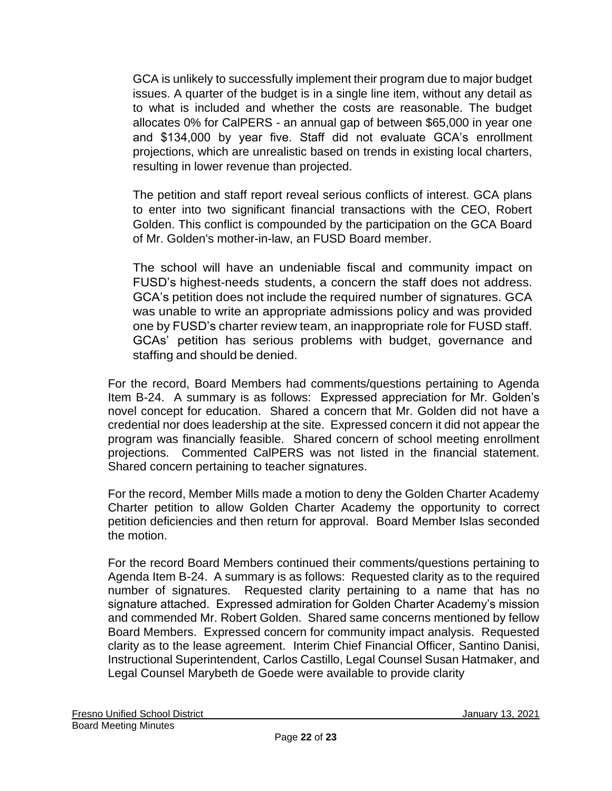GCA is unlikely to successfully implement their program due to major budget issues. A quarter of the budget is in a single line item, without any detail as to what is included and whether the costs are reasonable. The budget allocates 0% for CalPERS - an annual gap of between \$65,000 in year one and \$134,000 by year five. Staff did not evaluate GCA's enrollment projections, which are unrealistic based on trends in existing local charters, resulting in lower revenue than projected.

The petition and staff report reveal serious conflicts of interest. GCA plans to enter into two significant financial transactions with the CEO, Robert Golden. This conflict is compounded by the participation on the GCA Board of Mr. Golden's mother-in-law, an FUSD Board member.

The school will have an undeniable fiscal and community impact on FUSD's highest-needs students, a concern the staff does not address. GCA's petition does not include the required number of signatures. GCA was unable to write an appropriate admissions policy and was provided one by FUSD's charter review team, an inappropriate role for FUSD staff. GCAs' petition has serious problems with budget, governance and staffing and should be denied.

For the record, Board Members had comments/questions pertaining to Agenda Item B-24. A summary is as follows: Expressed appreciation for Mr. Golden's novel concept for education. Shared a concern that Mr. Golden did not have a credential nor does leadership at the site. Expressed concern it did not appear the program was financially feasible. Shared concern of school meeting enrollment projections. Commented CalPERS was not listed in the financial statement. Shared concern pertaining to teacher signatures.

For the record, Member Mills made a motion to deny the Golden Charter Academy Charter petition to allow Golden Charter Academy the opportunity to correct petition deficiencies and then return for approval. Board Member Islas seconded the motion.

For the record Board Members continued their comments/questions pertaining to Agenda Item B-24. A summary is as follows: Requested clarity as to the required number of signatures. Requested clarity pertaining to a name that has no signature attached. Expressed admiration for Golden Charter Academy's mission and commended Mr. Robert Golden. Shared same concerns mentioned by fellow Board Members. Expressed concern for community impact analysis. Requested clarity as to the lease agreement. Interim Chief Financial Officer, Santino Danisi, Instructional Superintendent, Carlos Castillo, Legal Counsel Susan Hatmaker, and Legal Counsel Marybeth de Goede were available to provide clarity